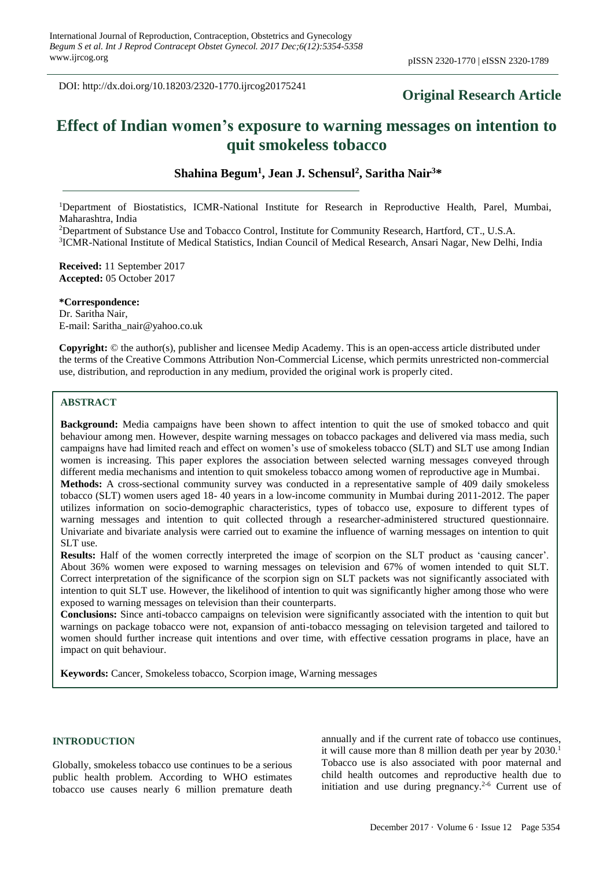DOI: http://dx.doi.org/10.18203/2320-1770.ijrcog20175241

# **Original Research Article**

# **Effect of Indian women's exposure to warning messages on intention to quit smokeless tobacco**

**Shahina Begum<sup>1</sup> , Jean J. Schensul<sup>2</sup> , Saritha Nair<sup>3</sup>\***

<sup>1</sup>Department of Biostatistics, ICMR-National Institute for Research in Reproductive Health, Parel, Mumbai, Maharashtra, India

<sup>2</sup>Department of Substance Use and Tobacco Control, Institute for Community Research, Hartford, CT., U.S.A. <sup>3</sup>ICMR-National Institute of Medical Statistics, Indian Council of Medical Research, Ansari Nagar, New Delhi, India

**Received:** 11 September 2017 **Accepted:** 05 October 2017

#### **\*Correspondence:**

Dr. Saritha Nair, E-mail: Saritha\_nair@yahoo.co.uk

**Copyright:** © the author(s), publisher and licensee Medip Academy. This is an open-access article distributed under the terms of the Creative Commons Attribution Non-Commercial License, which permits unrestricted non-commercial use, distribution, and reproduction in any medium, provided the original work is properly cited.

#### **ABSTRACT**

**Background:** Media campaigns have been shown to affect intention to quit the use of smoked tobacco and quit behaviour among men. However, despite warning messages on tobacco packages and delivered via mass media, such campaigns have had limited reach and effect on women's use of smokeless tobacco (SLT) and SLT use among Indian women is increasing. This paper explores the association between selected warning messages conveyed through different media mechanisms and intention to quit smokeless tobacco among women of reproductive age in Mumbai.

**Methods:** A cross-sectional community survey was conducted in a representative sample of 409 daily smokeless tobacco (SLT) women users aged 18- 40 years in a low-income community in Mumbai during 2011-2012. The paper utilizes information on socio-demographic characteristics, types of tobacco use, exposure to different types of warning messages and intention to quit collected through a researcher-administered structured questionnaire. Univariate and bivariate analysis were carried out to examine the influence of warning messages on intention to quit SLT use.

**Results:** Half of the women correctly interpreted the image of scorpion on the SLT product as 'causing cancer'. About 36% women were exposed to warning messages on television and 67% of women intended to quit SLT. Correct interpretation of the significance of the scorpion sign on SLT packets was not significantly associated with intention to quit SLT use. However, the likelihood of intention to quit was significantly higher among those who were exposed to warning messages on television than their counterparts.

**Conclusions:** Since anti-tobacco campaigns on television were significantly associated with the intention to quit but warnings on package tobacco were not, expansion of anti-tobacco messaging on television targeted and tailored to women should further increase quit intentions and over time, with effective cessation programs in place, have an impact on quit behaviour.

**Keywords:** Cancer, Smokeless tobacco, Scorpion image, Warning messages

### **INTRODUCTION**

Globally, smokeless tobacco use continues to be a serious public health problem. According to WHO estimates tobacco use causes nearly 6 million premature death annually and if the current rate of tobacco use continues, it will cause more than 8 million death per year by 2030.<sup>1</sup> Tobacco use is also associated with poor maternal and child health outcomes and reproductive health due to initiation and use during pregnancy. $2-6$  Current use of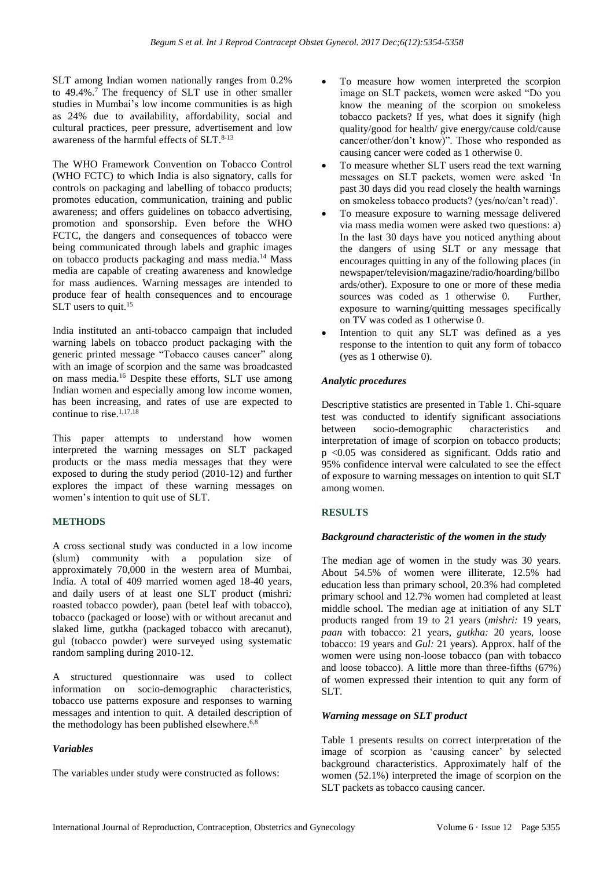SLT among Indian women nationally ranges from 0.2% to 49.4%. <sup>7</sup> The frequency of SLT use in other smaller studies in Mumbai's low income communities is as high as 24% due to availability, affordability, social and cultural practices, peer pressure, advertisement and low awareness of the harmful effects of SLT. 8-13

The WHO Framework Convention on Tobacco Control (WHO FCTC) to which India is also signatory, calls for controls on packaging and labelling of tobacco products; promotes education, communication, training and public awareness; and offers guidelines on tobacco advertising, promotion and sponsorship. Even before the WHO FCTC, the dangers and consequences of tobacco were being communicated through labels and graphic images on tobacco products packaging and mass media. <sup>14</sup> Mass media are capable of creating awareness and knowledge for mass audiences. Warning messages are intended to produce fear of health consequences and to encourage SLT users to quit.<sup>15</sup>

India instituted an anti-tobacco campaign that included warning labels on tobacco product packaging with the generic printed message "Tobacco causes cancer" along with an image of scorpion and the same was broadcasted on mass media.<sup>16</sup> Despite these efforts, SLT use among Indian women and especially among low income women, has been increasing, and rates of use are expected to continue to rise. $1,17,18$ 

This paper attempts to understand how women interpreted the warning messages on SLT packaged products or the mass media messages that they were exposed to during the study period (2010-12) and further explores the impact of these warning messages on women's intention to quit use of SLT.

# **METHODS**

A cross sectional study was conducted in a low income (slum) community with a population size of approximately 70,000 in the western area of Mumbai, India. A total of 409 married women aged 18-40 years, and daily users of at least one SLT product (mishri*:*  roasted tobacco powder), paan (betel leaf with tobacco), tobacco (packaged or loose) with or without arecanut and slaked lime, gutkha (packaged tobacco with arecanut), gul (tobacco powder) were surveyed using systematic random sampling during 2010-12.

A structured questionnaire was used to collect information on socio-demographic characteristics, tobacco use patterns exposure and responses to warning messages and intention to quit. A detailed description of the methodology has been published elsewhere.<sup>6,8</sup>

#### *Variables*

The variables under study were constructed as follows:

- To measure how women interpreted the scorpion image on SLT packets, women were asked "Do you know the meaning of the scorpion on smokeless tobacco packets? If yes, what does it signify (high quality/good for health/ give energy/cause cold/cause cancer/other/don't know)". Those who responded as causing cancer were coded as 1 otherwise 0.
- To measure whether SLT users read the text warning messages on SLT packets, women were asked 'In past 30 days did you read closely the health warnings on smokeless tobacco products? (yes/no/can't read)'.
- To measure exposure to warning message delivered via mass media women were asked two questions: a) In the last 30 days have you noticed anything about the dangers of using SLT or any message that encourages quitting in any of the following places (in newspaper/television/magazine/radio/hoarding/billbo ards/other). Exposure to one or more of these media sources was coded as 1 otherwise 0. Further, exposure to warning/quitting messages specifically on TV was coded as 1 otherwise 0.
- Intention to quit any SLT was defined as a yes response to the intention to quit any form of tobacco (yes as 1 otherwise 0).

#### *Analytic procedures*

Descriptive statistics are presented in Table 1. Chi-square test was conducted to identify significant associations between socio-demographic characteristics and interpretation of image of scorpion on tobacco products; p <0.05 was considered as significant. Odds ratio and 95% confidence interval were calculated to see the effect of exposure to warning messages on intention to quit SLT among women.

# **RESULTS**

#### *Background characteristic of the women in the study*

The median age of women in the study was 30 years. About 54.5% of women were illiterate, 12.5% had education less than primary school, 20.3% had completed primary school and 12.7% women had completed at least middle school. The median age at initiation of any SLT products ranged from 19 to 21 years (*mishri:* 19 years, *paan* with tobacco: 21 years, *gutkha:* 20 years, loose tobacco: 19 years and *Gul:* 21 years). Approx. half of the women were using non-loose tobacco (pan with tobacco and loose tobacco). A little more than three-fifths (67%) of women expressed their intention to quit any form of SLT.

#### *Warning message on SLT product*

Table 1 presents results on correct interpretation of the image of scorpion as 'causing cancer' by selected background characteristics. Approximately half of the women (52.1%) interpreted the image of scorpion on the SLT packets as tobacco causing cancer.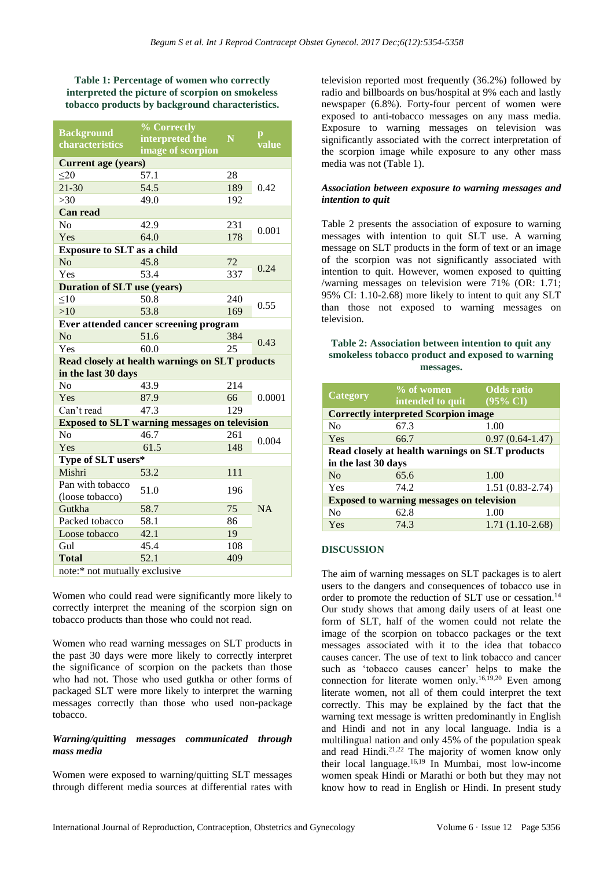**Table 1: Percentage of women who correctly interpreted the picture of scorpion on smokeless tobacco products by background characteristics.**

| <b>Background</b><br>characteristics                 | % Correctly       |     |            |  |
|------------------------------------------------------|-------------------|-----|------------|--|
|                                                      | interpreted the   | N   | p<br>value |  |
|                                                      | image of scorpion |     |            |  |
| <b>Current age (years)</b>                           |                   |     |            |  |
| $\leq$ 20                                            | 57.1              | 28  | 0.42       |  |
| $21 - 30$                                            | 54.5              | 189 |            |  |
| $>30$                                                | 49.0              | 192 |            |  |
| <b>Can read</b>                                      |                   |     |            |  |
| N <sub>0</sub>                                       | 42.9              | 231 | 0.001      |  |
| Yes                                                  | 64.0              | 178 |            |  |
| <b>Exposure to SLT</b> as a child                    |                   |     |            |  |
| No                                                   | 45.8              | 72  | 0.24       |  |
| Yes                                                  | 53.4              | 337 |            |  |
| <b>Duration of SLT use (years)</b>                   |                   |     |            |  |
| $10^{-1}$                                            | 50.8              | 240 | 0.55       |  |
| >10                                                  | 53.8              | 169 |            |  |
| Ever attended cancer screening program               |                   |     |            |  |
| No                                                   | 51.6              | 384 | 0.43       |  |
| Yes                                                  | 60.0              | 25  |            |  |
| Read closely at health warnings on SLT products      |                   |     |            |  |
| in the last 30 days                                  |                   |     |            |  |
| No                                                   | 43.9              | 214 | 0.0001     |  |
| Yes                                                  | 87.9              | 66  |            |  |
| Can't read                                           | 47.3              | 129 |            |  |
| <b>Exposed to SLT warning messages on television</b> |                   |     |            |  |
| No                                                   | 46.7              | 261 | 0.004      |  |
| Yes                                                  | 61.5              | 148 |            |  |
| Type of SLT users*                                   |                   |     |            |  |
| Mishri                                               | 53.2              | 111 |            |  |
| Pan with tobacco<br>(loose tobacco)                  | 51.0              | 196 |            |  |
| Gutkha                                               | 58.7              | 75  | <b>NA</b>  |  |
| Packed tobacco                                       | 58.1              | 86  |            |  |
| Loose tobacco                                        | 42.1              | 19  |            |  |
| Gul                                                  | 45.4              | 108 |            |  |
| <b>Total</b>                                         | 52.1              | 409 |            |  |
|                                                      |                   |     |            |  |
| note:* not mutually exclusive                        |                   |     |            |  |

Women who could read were significantly more likely to correctly interpret the meaning of the scorpion sign on tobacco products than those who could not read.

Women who read warning messages on SLT products in the past 30 days were more likely to correctly interpret the significance of scorpion on the packets than those who had not. Those who used gutkha or other forms of packaged SLT were more likely to interpret the warning messages correctly than those who used non-package tobacco.

#### *Warning/quitting messages communicated through mass media*

Women were exposed to warning/quitting SLT messages through different media sources at differential rates with television reported most frequently (36.2%) followed by radio and billboards on bus/hospital at 9% each and lastly newspaper (6.8%). Forty-four percent of women were exposed to anti-tobacco messages on any mass media. Exposure to warning messages on television was significantly associated with the correct interpretation of the scorpion image while exposure to any other mass media was not (Table 1).

#### *Association between exposure to warning messages and intention to quit*

Table 2 presents the association of exposure to warning messages with intention to quit SLT use. A warning message on SLT products in the form of text or an image of the scorpion was not significantly associated with intention to quit. However, women exposed to quitting /warning messages on television were 71% (OR: 1.71; 95% CI: 1.10-2.68) more likely to intent to quit any SLT than those not exposed to warning messages on television.

#### **Table 2: Association between intention to quit any smokeless tobacco product and exposed to warning messages.**

| <b>Category</b>                                  | % of women       | <b>Odds</b> ratio   |  |  |
|--------------------------------------------------|------------------|---------------------|--|--|
|                                                  | intended to quit | $(95\% \text{ CI})$ |  |  |
| <b>Correctly interpreted Scorpion image</b>      |                  |                     |  |  |
| N <sub>0</sub>                                   | 67.3             | 1.00                |  |  |
| Yes                                              | 66.7             | $0.97(0.64-1.47)$   |  |  |
| Read closely at health warnings on SLT products  |                  |                     |  |  |
| in the last 30 days                              |                  |                     |  |  |
| N <sub>0</sub>                                   | 65.6             | 1.00                |  |  |
| Yes                                              | 74.2             | $1.51(0.83 - 2.74)$ |  |  |
| <b>Exposed to warning messages on television</b> |                  |                     |  |  |
| N <sub>0</sub>                                   | 62.8             | 1.00                |  |  |
| Yes                                              | 74.3             | $1.71(1.10-2.68)$   |  |  |

#### **DISCUSSION**

The aim of warning messages on SLT packages is to alert users to the dangers and consequences of tobacco use in order to promote the reduction of SLT use or cessation.<sup>14</sup> Our study shows that among daily users of at least one form of SLT, half of the women could not relate the image of the scorpion on tobacco packages or the text messages associated with it to the idea that tobacco causes cancer. The use of text to link tobacco and cancer such as 'tobacco causes cancer' helps to make the connection for literate women only. 16,19,20 Even among literate women, not all of them could interpret the text correctly. This may be explained by the fact that the warning text message is written predominantly in English and Hindi and not in any local language. India is a multilingual nation and only 45% of the population speak and read Hindi.<sup>21,22</sup> The majority of women know only their local language. 16,19 In Mumbai, most low-income women speak Hindi or Marathi or both but they may not know how to read in English or Hindi. In present study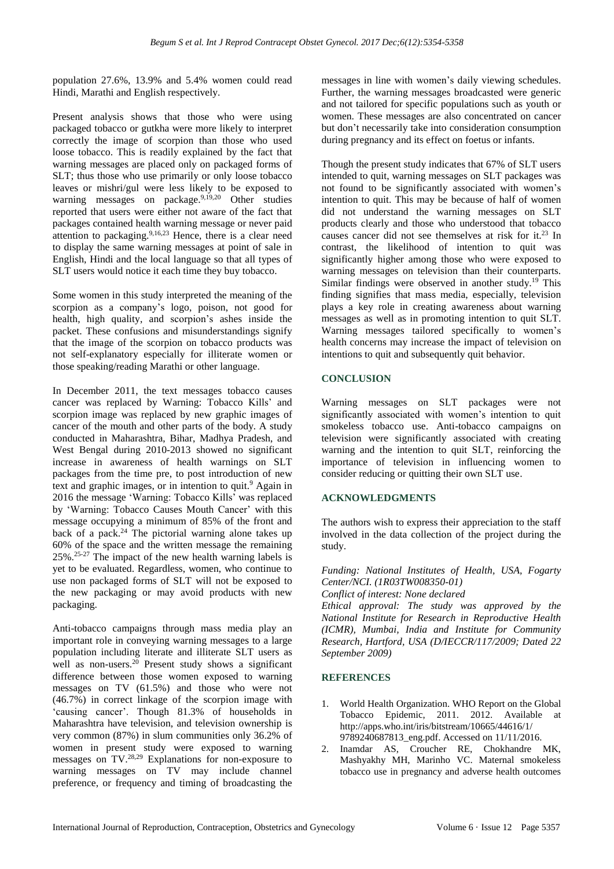population 27.6%, 13.9% and 5.4% women could read Hindi, Marathi and English respectively.

Present analysis shows that those who were using packaged tobacco or gutkha were more likely to interpret correctly the image of scorpion than those who used loose tobacco. This is readily explained by the fact that warning messages are placed only on packaged forms of SLT; thus those who use primarily or only loose tobacco leaves or mishri/gul were less likely to be exposed to warning messages on package.<sup>9,19,20</sup> Other studies reported that users were either not aware of the fact that packages contained health warning message or never paid attention to packaging.<sup>9,16,23</sup> Hence, there is a clear need to display the same warning messages at point of sale in English, Hindi and the local language so that all types of SLT users would notice it each time they buy tobacco.

Some women in this study interpreted the meaning of the scorpion as a company's logo, poison, not good for health, high quality, and scorpion's ashes inside the packet. These confusions and misunderstandings signify that the image of the scorpion on tobacco products was not self-explanatory especially for illiterate women or those speaking/reading Marathi or other language.

In December 2011, the text messages tobacco causes cancer was replaced by Warning: Tobacco Kills' and scorpion image was replaced by new graphic images of cancer of the mouth and other parts of the body. A study conducted in Maharashtra, Bihar, Madhya Pradesh, and West Bengal during 2010-2013 showed no significant increase in awareness of health warnings on SLT packages from the time pre, to post introduction of new text and graphic images, or in intention to quit.<sup>9</sup> Again in 2016 the message 'Warning: Tobacco Kills' was replaced by 'Warning: Tobacco Causes Mouth Cancer' with this message occupying a minimum of 85% of the front and back of a pack. <sup>24</sup> The pictorial warning alone takes up 60% of the space and the written message the remaining  $25\%$ .<sup>25-27</sup> The impact of the new health warning labels is yet to be evaluated. Regardless, women, who continue to use non packaged forms of SLT will not be exposed to the new packaging or may avoid products with new packaging.

Anti-tobacco campaigns through mass media play an important role in conveying warning messages to a large population including literate and illiterate SLT users as well as non-users.<sup>20</sup> Present study shows a significant difference between those women exposed to warning messages on TV (61.5%) and those who were not (46.7%) in correct linkage of the scorpion image with 'causing cancer'. Though 81.3% of households in Maharashtra have television, and television ownership is very common (87%) in slum communities only 36.2% of women in present study were exposed to warning messages on TV.28,29 Explanations for non-exposure to warning messages on TV may include channel preference, or frequency and timing of broadcasting the messages in line with women's daily viewing schedules. Further, the warning messages broadcasted were generic and not tailored for specific populations such as youth or women. These messages are also concentrated on cancer but don't necessarily take into consideration consumption during pregnancy and its effect on foetus or infants.

Though the present study indicates that 67% of SLT users intended to quit, warning messages on SLT packages was not found to be significantly associated with women's intention to quit. This may be because of half of women did not understand the warning messages on SLT products clearly and those who understood that tobacco causes cancer did not see themselves at risk for it. <sup>23</sup> In contrast, the likelihood of intention to quit was significantly higher among those who were exposed to warning messages on television than their counterparts. Similar findings were observed in another study. <sup>19</sup> This finding signifies that mass media, especially, television plays a key role in creating awareness about warning messages as well as in promoting intention to quit SLT. Warning messages tailored specifically to women's health concerns may increase the impact of television on intentions to quit and subsequently quit behavior.

#### **CONCLUSION**

Warning messages on SLT packages were not significantly associated with women's intention to quit smokeless tobacco use. Anti-tobacco campaigns on television were significantly associated with creating warning and the intention to quit SLT, reinforcing the importance of television in influencing women to consider reducing or quitting their own SLT use.

#### **ACKNOWLEDGMENTS**

The authors wish to express their appreciation to the staff involved in the data collection of the project during the study.

*Funding: National Institutes of Health, USA, Fogarty Center/NCI. (1R03TW008350-01)*

*Conflict of interest: None declared*

*Ethical approval: The study was approved by the National Institute for Research in Reproductive Health (ICMR), Mumbai, India and Institute for Community Research, Hartford, USA (D/IECCR/117/2009; Dated 22 September 2009)*

#### **REFERENCES**

- World Health Organization. WHO Report on the Global Tobacco Epidemic, 2011. 2012. Available at http://apps.who.int/iris/bitstream/10665/44616/1/ 9789240687813\_eng.pdf. Accessed on 11/11/2016.
- 2. Inamdar AS, Croucher RE, Chokhandre MK, Mashyakhy MH, Marinho VC. Maternal smokeless tobacco use in pregnancy and adverse health outcomes